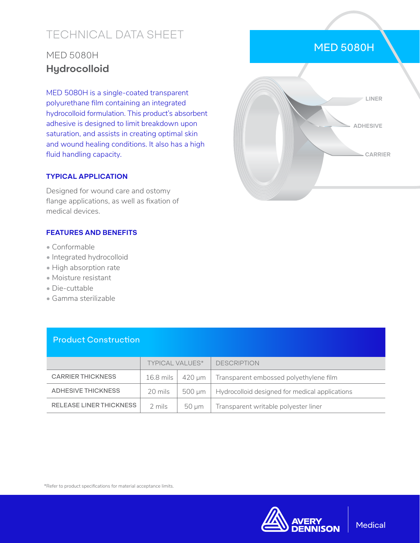# TECHNICAL DATA SHEET

## MED 5080H **Hydrocolloid**

MED 5080H is a single-coated transparent polyurethane film containing an integrated hydrocolloid formulation. This product's absorbent adhesive is designed to limit breakdown upon saturation, and assists in creating optimal skin and wound healing conditions. It also has a high fluid handling capacity.

#### **TYPICAL APPLICATION**

Designed for wound care and ostomy flange applications, as well as fixation of medical devices.

#### **FEATURES AND BENEFITS**

- Conformable
- Integrated hydrocolloid
- High absorption rate
- Moisture resistant
- Die-cuttable
- Gamma sterilizable

|                           | <b>TYPICAL VALUES*</b> |            | <b>DESCRIPTION</b>                             |
|---------------------------|------------------------|------------|------------------------------------------------|
| <b>CARRIER THICKNESS</b>  | $16.8$ mils            | 420 um 1   | Transparent embossed polyethylene film         |
| <b>ADHESIVE THICKNESS</b> | 20 mils                | 500 um     | Hydrocolloid designed for medical applications |
| RELEASE LINER THICKNESS   | 2 mils                 | $50 \mu m$ | Transparent writable polyester liner           |

#### Product Construction



#### MED 5080H